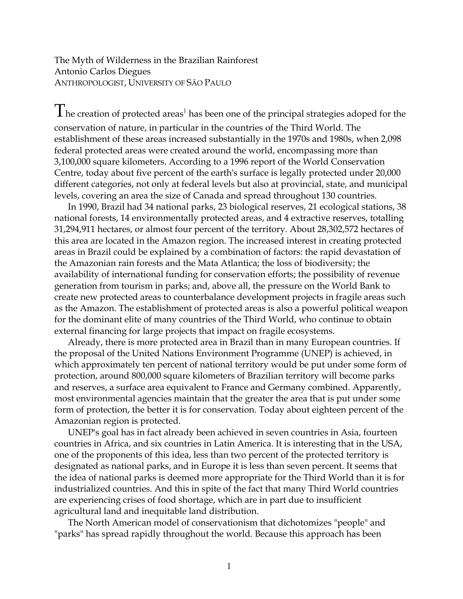The Myth of Wilderness in the Brazilian Rainforest Antonio Carlos Diegues ANTHROPOLOGIST, UNIVERSITY OF SÃO PAULO

 $\Gamma$  he creation of protected areas<sup>1</sup> has been one of the principal strategies adoped for the conservation of nature, in particular in the countries of the Third World. The establishment of these areas increased substantially in the 1970s and 1980s, when 2,098 federal protected areas were created around the world, encompassing more than 3,100,000 square kilometers. According to a 1996 report of the World Conservation Centre, today about five percent of the earth's surface is legally protected under 20,000 different categories, not only at federal levels but also at provincial, state, and municipal levels, covering an area the size of Canada and spread throughout 130 countries.

 In 1990, Brazil had 34 national parks, 23 biological reserves, 21 ecological stations, 38 national forests, 14 environmentally protected areas, and 4 extractive reserves, totalling 31,294,911 hectares, or almost four percent of the territory. About 28,302,572 hectares of this area are located in the Amazon region. The increased interest in creating protected areas in Brazil could be explained by a combination of factors: the rapid devastation of the Amazonian rain forests and the Mata Atlantica; the loss of biodiversity; the availability of international funding for conservation efforts; the possibility of revenue generation from tourism in parks; and, above all, the pressure on the World Bank to create new protected areas to counterbalance development projects in fragile areas such as the Amazon. The establishment of protected areas is also a powerful political weapon for the dominant elite of many countries of the Third World, who continue to obtain external financing for large projects that impact on fragile ecosystems.

 Already, there is more protected area in Brazil than in many European countries. If the proposal of the United Nations Environment Programme (UNEP) is achieved, in which approximately ten percent of national territory would be put under some form of protection, around 800,000 square kilometers of Brazilian territory will become parks and reserves, a surface area equivalent to France and Germany combined. Apparently, most environmental agencies maintain that the greater the area that is put under some form of protection, the better it is for conservation. Today about eighteen percent of the Amazonian region is protected.

 UNEP's goal has in fact already been achieved in seven countries in Asia, fourteen countries in Africa, and six countries in Latin America. It is interesting that in the USA, one of the proponents of this idea, less than two percent of the protected territory is designated as national parks, and in Europe it is less than seven percent. It seems that the idea of national parks is deemed more appropriate for the Third World than it is for industrialized countries. And this in spite of the fact that many Third World countries are experiencing crises of food shortage, which are in part due to insufficient agricultural land and inequitable land distribution.

 The North American model of conservationism that dichotomizes "people" and "parks" has spread rapidly throughout the world. Because this approach has been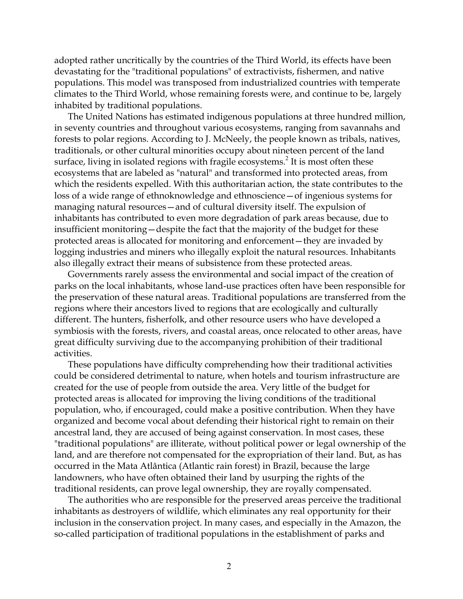adopted rather uncritically by the countries of the Third World, its effects have been devastating for the "traditional populations" of extractivists, fishermen, and native populations. This model was transposed from industrialized countries with temperate climates to the Third World, whose remaining forests were, and continue to be, largely inhabited by traditional populations.

 The United Nations has estimated indigenous populations at three hundred million, in seventy countries and throughout various ecosystems, ranging from savannahs and forests to polar regions. According to J. McNeely, the people known as tribals, natives, traditionals, or other cultural minorities occupy about nineteen percent of the land surface, living in isolated regions with fragile ecosystems.<sup>2</sup> It is most often these ecosystems that are labeled as "natural" and transformed into protected areas, from which the residents expelled. With this authoritarian action, the state contributes to the loss of a wide range of ethnoknowledge and ethnoscience—of ingenious systems for managing natural resources—and of cultural diversity itself. The expulsion of inhabitants has contributed to even more degradation of park areas because, due to insufficient monitoring—despite the fact that the majority of the budget for these protected areas is allocated for monitoring and enforcement—they are invaded by logging industries and miners who illegally exploit the natural resources. Inhabitants also illegally extract their means of subsistence from these protected areas.

 Governments rarely assess the environmental and social impact of the creation of parks on the local inhabitants, whose land-use practices often have been responsible for the preservation of these natural areas. Traditional populations are transferred from the regions where their ancestors lived to regions that are ecologically and culturally different. The hunters, fisherfolk, and other resource users who have developed a symbiosis with the forests, rivers, and coastal areas, once relocated to other areas, have great difficulty surviving due to the accompanying prohibition of their traditional activities.

 These populations have difficulty comprehending how their traditional activities could be considered detrimental to nature, when hotels and tourism infrastructure are created for the use of people from outside the area. Very little of the budget for protected areas is allocated for improving the living conditions of the traditional population, who, if encouraged, could make a positive contribution. When they have organized and become vocal about defending their historical right to remain on their ancestral land, they are accused of being against conservation. In most cases, these "traditional populations" are illiterate, without political power or legal ownership of the land, and are therefore not compensated for the expropriation of their land. But, as has occurred in the Mata Atlântica (Atlantic rain forest) in Brazil, because the large landowners, who have often obtained their land by usurping the rights of the traditional residents, can prove legal ownership, they are royally compensated.

 The authorities who are responsible for the preserved areas perceive the traditional inhabitants as destroyers of wildlife, which eliminates any real opportunity for their inclusion in the conservation project. In many cases, and especially in the Amazon, the so-called participation of traditional populations in the establishment of parks and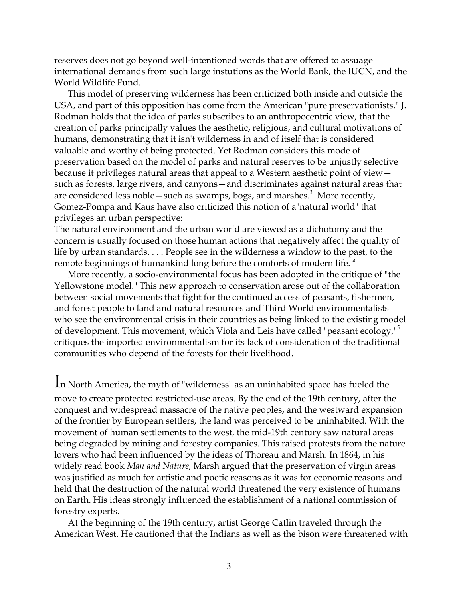reserves does not go beyond well-intentioned words that are offered to assuage international demands from such large instutions as the World Bank, the IUCN, and the World Wildlife Fund.

 This model of preserving wilderness has been criticized both inside and outside the USA, and part of this opposition has come from the American "pure preservationists." J. Rodman holds that the idea of parks subscribes to an anthropocentric view, that the creation of parks principally values the aesthetic, religious, and cultural motivations of humans, demonstrating that it isn't wilderness in and of itself that is considered valuable and worthy of being protected. Yet Rodman considers this mode of preservation based on the model of parks and natural reserves to be unjustly selective because it privileges natural areas that appeal to a Western aesthetic point of view such as forests, large rivers, and canyons—and discriminates against natural areas that are considered less noble  $-$  such as swamps, bogs, and marshes.<sup>3</sup> More recently, Gomez-Pompa and Kaus have also criticized this notion of a"natural world" that privileges an urban perspective:

The natural environment and the urban world are viewed as a dichotomy and the concern is usually focused on those human actions that negatively affect the quality of life by urban standards. . . . People see in the wilderness a window to the past, to the remote beginnings of humankind long before the comforts of modern life. *<sup>4</sup>*

 More recently, a socio-environmental focus has been adopted in the critique of "the Yellowstone model." This new approach to conservation arose out of the collaboration between social movements that fight for the continued access of peasants, fishermen, and forest people to land and natural resources and Third World environmentalists who see the environmental crisis in their countries as being linked to the existing model of development. This movement, which Viola and Leis have called "peasant ecology,"<sup>5</sup> critiques the imported environmentalism for its lack of consideration of the traditional communities who depend of the forests for their livelihood.

In North America, the myth of "wilderness" as an uninhabited space has fueled the move to create protected restricted-use areas. By the end of the 19th century, after the conquest and widespread massacre of the native peoples, and the westward expansion of the frontier by European settlers, the land was perceived to be uninhabited. With the movement of human settlements to the west, the mid-19th century saw natural areas being degraded by mining and forestry companies. This raised protests from the nature lovers who had been influenced by the ideas of Thoreau and Marsh. In 1864, in his widely read book *Man and Nature*, Marsh argued that the preservation of virgin areas was justified as much for artistic and poetic reasons as it was for economic reasons and held that the destruction of the natural world threatened the very existence of humans on Earth. His ideas strongly influenced the establishment of a national commission of forestry experts.

 At the beginning of the 19th century, artist George Catlin traveled through the American West. He cautioned that the Indians as well as the bison were threatened with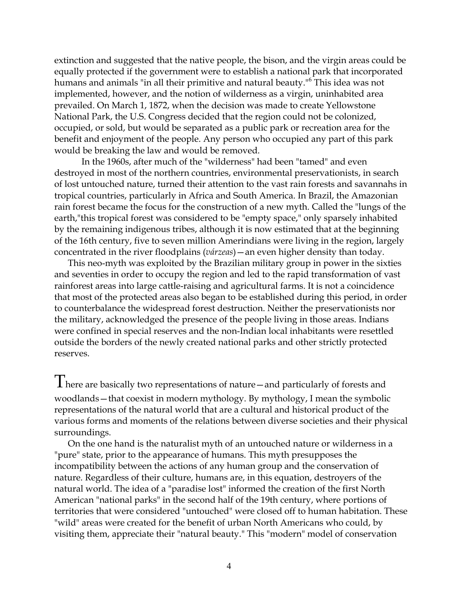extinction and suggested that the native people, the bison, and the virgin areas could be equally protected if the government were to establish a national park that incorporated humans and animals "in all their primitive and natural beauty."<sup>6</sup> This idea was not implemented, however, and the notion of wilderness as a virgin, uninhabited area prevailed. On March 1, 1872, when the decision was made to create Yellowstone National Park, the U.S. Congress decided that the region could not be colonized, occupied, or sold, but would be separated as a public park or recreation area for the benefit and enjoyment of the people. Any person who occupied any part of this park would be breaking the law and would be removed.

In the 1960s, after much of the "wilderness" had been "tamed" and even destroyed in most of the northern countries, environmental preservationists, in search of lost untouched nature, turned their attention to the vast rain forests and savannahs in tropical countries, particularly in Africa and South America. In Brazil, the Amazonian rain forest became the focus for the construction of a new myth. Called the "lungs of the earth,"this tropical forest was considered to be "empty space," only sparsely inhabited by the remaining indigenous tribes, although it is now estimated that at the beginning of the 16th century, five to seven million Amerindians were living in the region, largely concentrated in the river floodplains (*várzeas*)—an even higher density than today.

 This neo-myth was exploited by the Brazilian military group in power in the sixties and seventies in order to occupy the region and led to the rapid transformation of vast rainforest areas into large cattle-raising and agricultural farms. It is not a coincidence that most of the protected areas also began to be established during this period, in order to counterbalance the widespread forest destruction. Neither the preservationists nor the military, acknowledged the presence of the people living in those areas. Indians were confined in special reserves and the non-Indian local inhabitants were resettled outside the borders of the newly created national parks and other strictly protected reserves.

There are basically two representations of nature—and particularly of forests and woodlands—that coexist in modern mythology. By mythology, I mean the symbolic representations of the natural world that are a cultural and historical product of the various forms and moments of the relations between diverse societies and their physical surroundings.

 On the one hand is the naturalist myth of an untouched nature or wilderness in a "pure" state, prior to the appearance of humans. This myth presupposes the incompatibility between the actions of any human group and the conservation of nature. Regardless of their culture, humans are, in this equation, destroyers of the natural world. The idea of a "paradise lost" informed the creation of the first North American "national parks" in the second half of the 19th century, where portions of territories that were considered "untouched" were closed off to human habitation. These "wild" areas were created for the benefit of urban North Americans who could, by visiting them, appreciate their "natural beauty." This "modern" model of conservation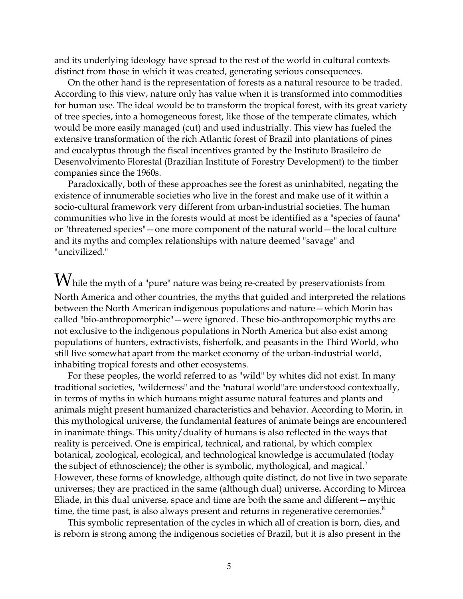and its underlying ideology have spread to the rest of the world in cultural contexts distinct from those in which it was created, generating serious consequences.

 On the other hand is the representation of forests as a natural resource to be traded. According to this view, nature only has value when it is transformed into commodities for human use. The ideal would be to transform the tropical forest, with its great variety of tree species, into a homogeneous forest, like those of the temperate climates, which would be more easily managed (cut) and used industrially. This view has fueled the extensive transformation of the rich Atlantic forest of Brazil into plantations of pines and eucalyptus through the fiscal incentives granted by the Instituto Brasileiro de Desenvolvimento Florestal (Brazilian Institute of Forestry Development) to the timber companies since the 1960s.

 Paradoxically, both of these approaches see the forest as uninhabited, negating the existence of innumerable societies who live in the forest and make use of it within a socio-cultural framework very different from urban-industrial societies. The human communities who live in the forests would at most be identified as a "species of fauna" or "threatened species"—one more component of the natural world—the local culture and its myths and complex relationships with nature deemed "savage" and "uncivilized."

 $W$ hile the myth of a "pure" nature was being re-created by preservationists from North America and other countries, the myths that guided and interpreted the relations between the North American indigenous populations and nature—which Morin has called "bio-anthropomorphic"—were ignored. These bio-anthropomorphic myths are not exclusive to the indigenous populations in North America but also exist among populations of hunters, extractivists, fisherfolk, and peasants in the Third World, who still live somewhat apart from the market economy of the urban-industrial world, inhabiting tropical forests and other ecosystems.

 For these peoples, the world referred to as "wild" by whites did not exist. In many traditional societies, "wilderness" and the "natural world"are understood contextually, in terms of myths in which humans might assume natural features and plants and animals might present humanized characteristics and behavior. According to Morin, in this mythological universe, the fundamental features of animate beings are encountered in inanimate things. This unity/duality of humans is also reflected in the ways that reality is perceived. One is empirical, technical, and rational, by which complex botanical, zoological, ecological, and technological knowledge is accumulated (today the subject of ethnoscience); the other is symbolic, mythological, and magical.<sup>7</sup> However, these forms of knowledge, although quite distinct, do not live in two separate universes; they are practiced in the same (although dual) universe**.** According to Mircea Eliade, in this dual universe, space and time are both the same and different—mythic time, the time past, is also always present and returns in regenerative ceremonies. $\delta$ 

 This symbolic representation of the cycles in which all of creation is born, dies, and is reborn is strong among the indigenous societies of Brazil, but it is also present in the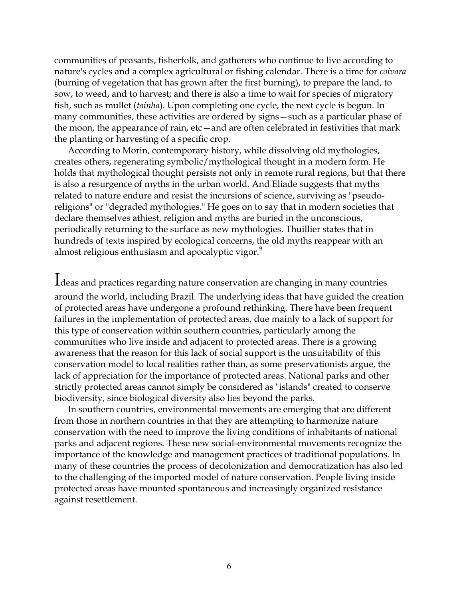communities of peasants, fisherfolk, and gatherers who continue to live according to nature's cycles and a complex agricultural or fishing calendar. There is a time for *coivara* (burning of vegetation that has grown after the first burning), to prepare the land, to sow, to weed, and to harvest; and there is also a time to wait for species of migratory fish, such as mullet (*tainha*). Upon completing one cycle, the next cycle is begun. In many communities, these activities are ordered by signs—such as a particular phase of the moon, the appearance of rain, etc—and are often celebrated in festivities that mark the planting or harvesting of a specific crop.

 According to Morin, contemporary history, while dissolving old mythologies, creates others, regenerating symbolic/mythological thought in a modern form. He holds that mythological thought persists not only in remote rural regions, but that there is also a resurgence of myths in the urban world. And Eliade suggests that myths related to nature endure and resist the incursions of science, surviving as "pseudoreligions" or "degraded mythologies." He goes on to say that in modern societies that declare themselves athiest, religion and myths are buried in the unconscious, periodically returning to the surface as new mythologies. Thuillier states that in hundreds of texts inspired by ecological concerns, the old myths reappear with an almost religious enthusiasm and apocalyptic vigor. $9$ 

Ideas and practices regarding nature conservation are changing in many countries around the world, including Brazil. The underlying ideas that have guided the creation of protected areas have undergone a profound rethinking. There have been frequent failures in the implementation of protected areas, due mainly to a lack of support for this type of conservation within southern countries, particularly among the communities who live inside and adjacent to protected areas. There is a growing awareness that the reason for this lack of social support is the unsuitability of this conservation model to local realities rather than, as some preservationists argue, the lack of appreciation for the importance of protected areas. National parks and other strictly protected areas cannot simply be considered as "islands" created to conserve biodiversity, since biological diversity also lies beyond the parks.

 In southern countries, environmental movements are emerging that are different from those in northern countries in that they are attempting to harmonize nature conservation with the need to improve the living conditions of inhabitants of national parks and adjacent regions. These new social-environmental movements recognize the importance of the knowledge and management practices of traditional populations. In many of these countries the process of decolonization and democratization has also led to the challenging of the imported model of nature conservation. People living inside protected areas have mounted spontaneous and increasingly organized resistance against resettlement.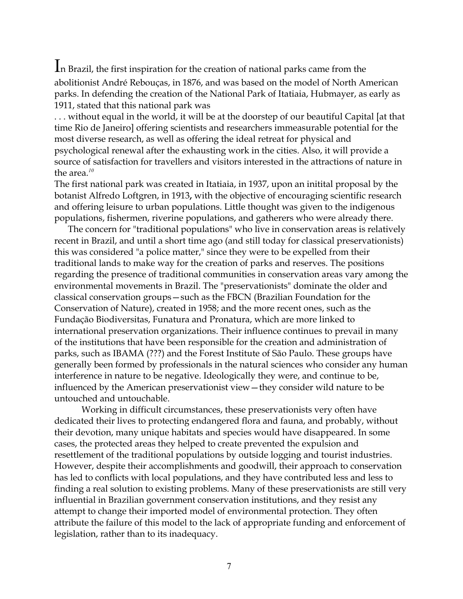In Brazil, the first inspiration for the creation of national parks came from the abolitionist André Rebouças, in 1876, and was based on the model of North American parks. In defending the creation of the National Park of Itatiaia, Hubmayer, as early as 1911, stated that this national park was

. . . without equal in the world, it will be at the doorstep of our beautiful Capital [at that time Rio de Janeiro] offering scientists and researchers immeasurable potential for the most diverse research, as well as offering the ideal retreat for physical and psychological renewal after the exhausting work in the cities. Also, it will provide a source of satisfaction for travellers and visitors interested in the attractions of nature in the area.*<sup>10</sup>*

The first national park was created in Itatiaia, in 1937, upon an initital proposal by the botanist Alfredo Loftgren, in 1913**,** with the objective of encouraging scientific research and offering leisure to urban populations. Little thought was given to the indigenous populations, fishermen, riverine populations, and gatherers who were already there.

 The concern for "traditional populations" who live in conservation areas is relatively recent in Brazil, and until a short time ago (and still today for classical preservationists) this was considered "a police matter," since they were to be expelled from their traditional lands to make way for the creation of parks and reserves. The positions regarding the presence of traditional communities in conservation areas vary among the environmental movements in Brazil. The "preservationists" dominate the older and classical conservation groups—such as the FBCN (Brazilian Foundation for the Conservation of Nature), created in 1958; and the more recent ones, such as the Fundação Biodiversitas, Funatura and Pronatura, which are more linked to international preservation organizations. Their influence continues to prevail in many of the institutions that have been responsible for the creation and administration of parks, such as IBAMA (???) and the Forest Institute of São Paulo. These groups have generally been formed by professionals in the natural sciences who consider any human interference in nature to be negative. Ideologically they were, and continue to be, influenced by the American preservationist view—they consider wild nature to be untouched and untouchable.

Working in difficult circumstances, these preservationists very often have dedicated their lives to protecting endangered flora and fauna, and probably, without their devotion, many unique habitats and species would have disappeared. In some cases, the protected areas they helped to create prevented the expulsion and resettlement of the traditional populations by outside logging and tourist industries. However, despite their accomplishments and goodwill, their approach to conservation has led to conflicts with local populations, and they have contributed less and less to finding a real solution to existing problems. Many of these preservationists are still very influential in Brazilian government conservation institutions, and they resist any attempt to change their imported model of environmental protection. They often attribute the failure of this model to the lack of appropriate funding and enforcement of legislation, rather than to its inadequacy.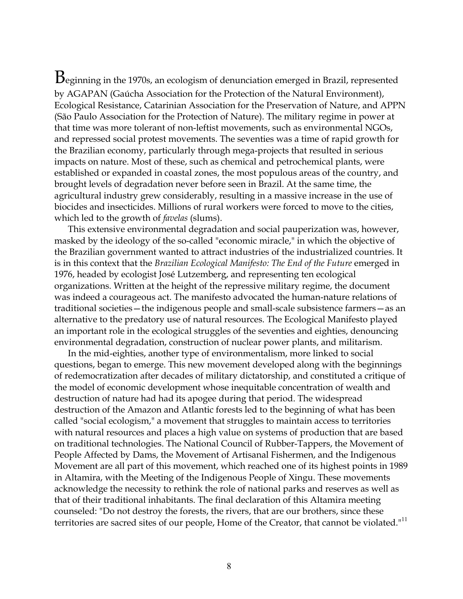Beginning in the 1970s, an ecologism of denunciation emerged in Brazil, represented by AGAPAN (Gaúcha Association for the Protection of the Natural Environment), Ecological Resistance, Catarinian Association for the Preservation of Nature, and APPN (São Paulo Association for the Protection of Nature). The military regime in power at that time was more tolerant of non-leftist movements, such as environmental NGOs, and repressed social protest movements. The seventies was a time of rapid growth for the Brazilian economy, particularly through mega-projects that resulted in serious impacts on nature. Most of these, such as chemical and petrochemical plants, were established or expanded in coastal zones, the most populous areas of the country, and brought levels of degradation never before seen in Brazil. At the same time, the agricultural industry grew considerably, resulting in a massive increase in the use of biocides and insecticides. Millions of rural workers were forced to move to the cities, which led to the growth of *favelas* (slums).

 This extensive environmental degradation and social pauperization was, however, masked by the ideology of the so-called "economic miracle," in which the objective of the Brazilian government wanted to attract industries of the industrialized countries. It is in this context that the *Brazilian Ecological Manifesto: The End of the Future* emerged in 1976, headed by ecologist José Lutzemberg, and representing ten ecological organizations. Written at the height of the repressive military regime, the document was indeed a courageous act. The manifesto advocated the human-nature relations of traditional societies—the indigenous people and small-scale subsistence farmers—as an alternative to the predatory use of natural resources. The Ecological Manifesto played an important role in the ecological struggles of the seventies and eighties, denouncing environmental degradation, construction of nuclear power plants, and militarism.

 In the mid-eighties, another type of environmentalism, more linked to social questions, began to emerge. This new movement developed along with the beginnings of redemocratization after decades of military dictatorship, and constituted a critique of the model of economic development whose inequitable concentration of wealth and destruction of nature had had its apogee during that period. The widespread destruction of the Amazon and Atlantic forests led to the beginning of what has been called "social ecologism," a movement that struggles to maintain access to territories with natural resources and places a high value on systems of production that are based on traditional technologies. The National Council of Rubber-Tappers, the Movement of People Affected by Dams, the Movement of Artisanal Fishermen, and the Indigenous Movement are all part of this movement, which reached one of its highest points in 1989 in Altamira, with the Meeting of the Indigenous People of Xingu. These movements acknowledge the necessity to rethink the role of national parks and reserves as well as that of their traditional inhabitants. The final declaration of this Altamira meeting counseled: "Do not destroy the forests, the rivers, that are our brothers, since these territories are sacred sites of our people, Home of the Creator, that cannot be violated."<sup>11</sup>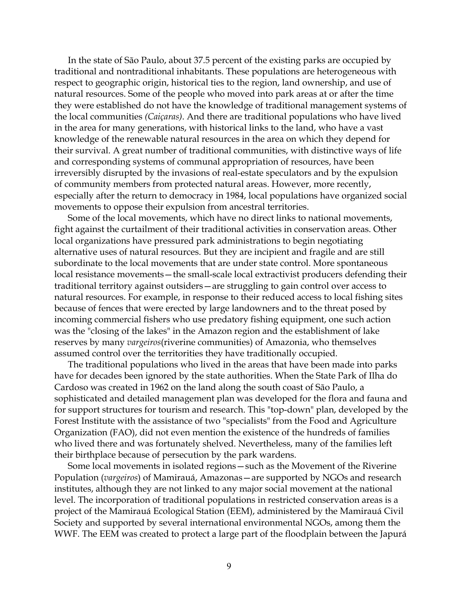In the state of São Paulo, about 37.5 percent of the existing parks are occupied by traditional and nontraditional inhabitants. These populations are heterogeneous with respect to geographic origin, historical ties to the region, land ownership, and use of natural resources. Some of the people who moved into park areas at or after the time they were established do not have the knowledge of traditional management systems of the local communities *(Caiçaras)*. And there are traditional populations who have lived in the area for many generations, with historical links to the land, who have a vast knowledge of the renewable natural resources in the area on which they depend for their survival. A great number of traditional communities, with distinctive ways of life and corresponding systems of communal appropriation of resources, have been irreversibly disrupted by the invasions of real-estate speculators and by the expulsion of community members from protected natural areas. However, more recently, especially after the return to democracy in 1984, local populations have organized social movements to oppose their expulsion from ancestral territories.

 Some of the local movements, which have no direct links to national movements, fight against the curtailment of their traditional activities in conservation areas. Other local organizations have pressured park administrations to begin negotiating alternative uses of natural resources. But they are incipient and fragile and are still subordinate to the local movements that are under state control. More spontaneous local resistance movements—the small-scale local extractivist producers defending their traditional territory against outsiders—are struggling to gain control over access to natural resources. For example, in response to their reduced access to local fishing sites because of fences that were erected by large landowners and to the threat posed by incoming commercial fishers who use predatory fishing equipment, one such action was the "closing of the lakes" in the Amazon region and the establishment of lake reserves by many *vargeiros*(riverine communities) of Amazonia, who themselves assumed control over the territorities they have traditionally occupied.

 The traditional populations who lived in the areas that have been made into parks have for decades been ignored by the state authorities. When the State Park of Ilha do Cardoso was created in 1962 on the land along the south coast of São Paulo, a sophisticated and detailed management plan was developed for the flora and fauna and for support structures for tourism and research. This "top-down" plan, developed by the Forest Institute with the assistance of two "specialists" from the Food and Agriculture Organization (FAO), did not even mention the existence of the hundreds of families who lived there and was fortunately shelved. Nevertheless, many of the families left their birthplace because of persecution by the park wardens.

 Some local movements in isolated regions—such as the Movement of the Riverine Population (*vargeiros*) of Mamirauá, Amazonas—are supported by NGOs and research institutes, although they are not linked to any major social movement at the national level. The incorporation of traditional populations in restricted conservation areas is a project of the Mamirauá Ecological Station (EEM), administered by the Mamirauá Civil Society and supported by several international environmental NGOs, among them the WWF. The EEM was created to protect a large part of the floodplain between the Japurá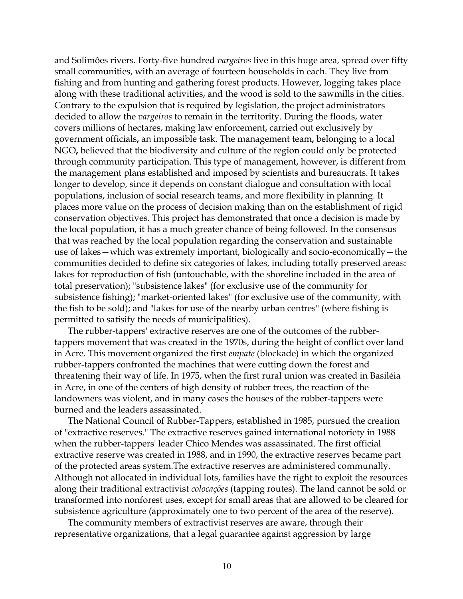and Solimôes rivers. Forty-five hundred *vargeiros* live in this huge area, spread over fifty small communities, with an average of fourteen households in each. They live from fishing and from hunting and gathering forest products. However, logging takes place along with these traditional activities, and the wood is sold to the sawmills in the cities. Contrary to the expulsion that is required by legislation, the project administrators decided to allow the *vargeiros* to remain in the territority. During the floods, water covers millions of hectares, making law enforcement, carried out exclusively by government officials**,** an impossible task. The management team**,** belonging to a local NGO**,** believed that the biodiversity and culture of the region could only be protected through community participation. This type of management, however, is different from the management plans established and imposed by scientists and bureaucrats. It takes longer to develop, since it depends on constant dialogue and consultation with local populations, inclusion of social research teams, and more flexibility in planning. It places more value on the process of decision making than on the establishment of rigid conservation objectives. This project has demonstrated that once a decision is made by the local population, it has a much greater chance of being followed. In the consensus that was reached by the local population regarding the conservation and sustainable use of lakes—which was extremely important, biologically and socio-economically—the communities decided to define six categories of lakes, including totally preserved areas: lakes for reproduction of fish (untouchable, with the shoreline included in the area of total preservation); "subsistence lakes" (for exclusive use of the community for subsistence fishing); "market-oriented lakes" (for exclusive use of the community, with the fish to be sold); and "lakes for use of the nearby urban centres" (where fishing is permitted to satisify the needs of municipalities).

 The rubber-tappers' extractive reserves are one of the outcomes of the rubbertappers movement that was created in the 1970s, during the height of conflict over land in Acre. This movement organized the first *empate* (blockade) in which the organized rubber-tappers confronted the machines that were cutting down the forest and threatening their way of life. In 1975, when the first rural union was created in Basiléia in Acre, in one of the centers of high density of rubber trees, the reaction of the landowners was violent, and in many cases the houses of the rubber-tappers were burned and the leaders assassinated.

 The National Council of Rubber-Tappers, established in 1985, pursued the creation of "extractive reserves." The extractive reserves gained international notoriety in 1988 when the rubber-tappers' leader Chico Mendes was assassinated. The first official extractive reserve was created in 1988, and in 1990, the extractive reserves became part of the protected areas system.The extractive reserves are administered communally. Although not allocated in individual lots, families have the right to exploit the resources along their traditional extractivist *colocações* (tapping routes). The land cannot be sold or transformed into nonforest uses, except for small areas that are allowed to be cleared for subsistence agriculture (approximately one to two percent of the area of the reserve).

 The community members of extractivist reserves are aware, through their representative organizations, that a legal guarantee against aggression by large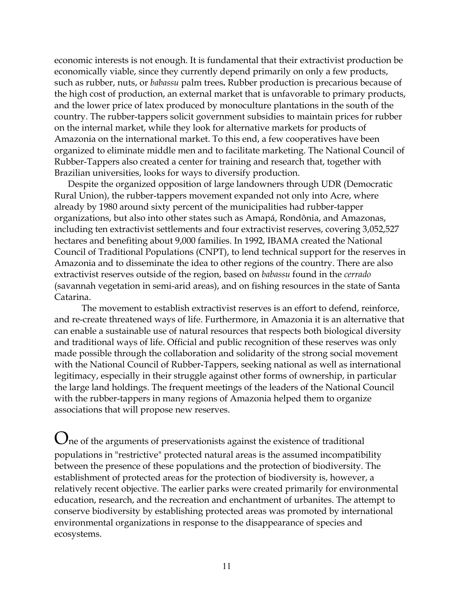economic interests is not enough. It is fundamental that their extractivist production be economically viable, since they currently depend primarily on only a few products, such as rubber, nuts, or *babassu* palm trees**.** Rubber production is precarious because of the high cost of production, an external market that is unfavorable to primary products, and the lower price of latex produced by monoculture plantations in the south of the country. The rubber-tappers solicit government subsidies to maintain prices for rubber on the internal market, while they look for alternative markets for products of Amazonia on the international market. To this end, a few cooperatives have been organized to eliminate middle men and to facilitate marketing. The National Council of Rubber-Tappers also created a center for training and research that, together with Brazilian universities, looks for ways to diversify production.

 Despite the organized opposition of large landowners through UDR (Democratic Rural Union), the rubber-tappers movement expanded not only into Acre, where already by 1980 around sixty percent of the municipalities had rubber-tapper organizations, but also into other states such as Amapá, Rondônia, and Amazonas, including ten extractivist settlements and four extractivist reserves, covering 3,052,527 hectares and benefiting about 9,000 families. In 1992, IBAMA created the National Council of Traditional Populations (CNPT), to lend technical support for the reserves in Amazonia and to disseminate the idea to other regions of the country. There are also extractivist reserves outside of the region, based on *babassu* found in the *cerrado* (savannah vegetation in semi-arid areas), and on fishing resources in the state of Santa Catarina.

The movement to establish extractivist reserves is an effort to defend, reinforce, and re-create threatened ways of life. Furthermore, in Amazonia it is an alternative that can enable a sustainable use of natural resources that respects both biological diversity and traditional ways of life. Official and public recognition of these reserves was only made possible through the collaboration and solidarity of the strong social movement with the National Council of Rubber-Tappers, seeking national as well as international legitimacy, especially in their struggle against other forms of ownership, in particular the large land holdings. The frequent meetings of the leaders of the National Council with the rubber-tappers in many regions of Amazonia helped them to organize associations that will propose new reserves.

 $\mathbf{U}$ ne of the arguments of preservationists against the existence of traditional populations in "restrictive" protected natural areas is the assumed incompatibility between the presence of these populations and the protection of biodiversity. The establishment of protected areas for the protection of biodiversity is, however, a relatively recent objective. The earlier parks were created primarily for environmental education, research, and the recreation and enchantment of urbanites. The attempt to conserve biodiversity by establishing protected areas was promoted by international environmental organizations in response to the disappearance of species and ecosystems.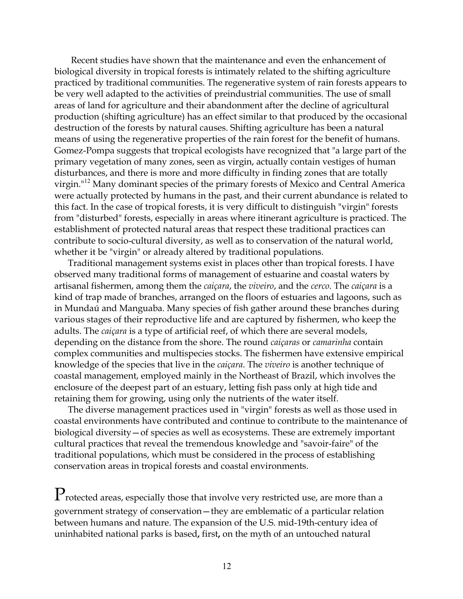Recent studies have shown that the maintenance and even the enhancement of biological diversity in tropical forests is intimately related to the shifting agriculture practiced by traditional communities. The regenerative system of rain forests appears to be very well adapted to the activities of preindustrial communities. The use of small areas of land for agriculture and their abandonment after the decline of agricultural production (shifting agriculture) has an effect similar to that produced by the occasional destruction of the forests by natural causes. Shifting agriculture has been a natural means of using the regenerative properties of the rain forest for the benefit of humans. Gomez-Pompa suggests that tropical ecologists have recognized that "a large part of the primary vegetation of many zones, seen as virgin, actually contain vestiges of human disturbances, and there is more and more difficulty in finding zones that are totally virgin."<sup>12</sup> Many dominant species of the primary forests of Mexico and Central America were actually protected by humans in the past, and their current abundance is related to this fact. In the case of tropical forests, it is very difficult to distinguish "virgin" forests from "disturbed" forests, especially in areas where itinerant agriculture is practiced. The establishment of protected natural areas that respect these traditional practices can contribute to socio-cultural diversity, as well as to conservation of the natural world, whether it be "virgin" or already altered by traditional populations.

 Traditional management systems exist in places other than tropical forests. I have observed many traditional forms of management of estuarine and coastal waters by artisanal fishermen, among them the *caiçara*, the *viveiro*, and the *cerco*. The *caiçara* is a kind of trap made of branches, arranged on the floors of estuaries and lagoons, such as in Mundaú and Manguaba. Many species of fish gather around these branches during various stages of their reproductive life and are captured by fishermen, who keep the adults. The *caiçara* is a type of artificial reef, of which there are several models, depending on the distance from the shore. The round *caiçaras* or *camarinha* contain complex communities and multispecies stocks. The fishermen have extensive empirical knowledge of the species that live in the *caiçara*. The *viveiro* is another technique of coastal management, employed mainly in the Northeast of Brazil, which involves the enclosure of the deepest part of an estuary, letting fish pass only at high tide and retaining them for growing, using only the nutrients of the water itself.

 The diverse management practices used in "virgin" forests as well as those used in coastal environments have contributed and continue to contribute to the maintenance of biological diversity—of species as well as ecosystems. These are extremely important cultural practices that reveal the tremendous knowledge and "savoir-faire" of the traditional populations, which must be considered in the process of establishing conservation areas in tropical forests and coastal environments.

 $P$  rotected areas, especially those that involve very restricted use, are more than a government strategy of conservation—they are emblematic of a particular relation between humans and nature. The expansion of the U.S. mid-19th-century idea of uninhabited national parks is based**,** first**,** on the myth of an untouched natural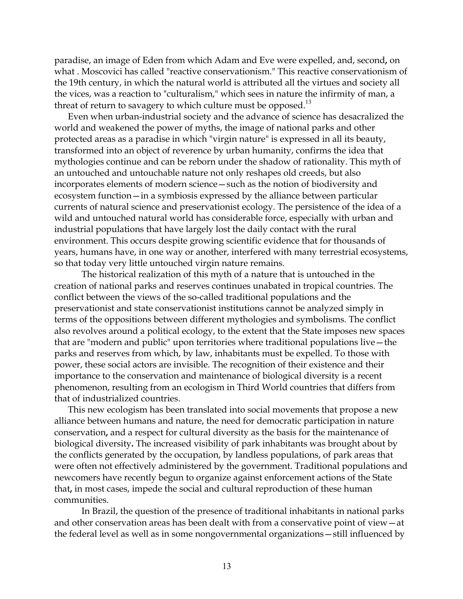paradise, an image of Eden from which Adam and Eve were expelled, and, second**,** on what . Moscovici has called "reactive conservationism." This reactive conservationism of the 19th century, in which the natural world is attributed all the virtues and society all the vices, was a reaction to "culturalism," which sees in nature the infirmity of man, a threat of return to savagery to which culture must be opposed.<sup>13</sup>

 Even when urban-industrial society and the advance of science has desacralized the world and weakened the power of myths, the image of national parks and other protected areas as a paradise in which "virgin nature" is expressed in all its beauty, transformed into an object of reverence by urban humanity, confirms the idea that mythologies continue and can be reborn under the shadow of rationality. This myth of an untouched and untouchable nature not only reshapes old creeds, but also incorporates elements of modern science—such as the notion of biodiversity and ecosystem function—in a symbiosis expressed by the alliance between particular currents of natural science and preservationist ecology. The persistence of the idea of a wild and untouched natural world has considerable force, especially with urban and industrial populations that have largely lost the daily contact with the rural environment. This occurs despite growing scientific evidence that for thousands of years, humans have, in one way or another, interfered with many terrestrial ecosystems, so that today very little untouched virgin nature remains.

The historical realization of this myth of a nature that is untouched in the creation of national parks and reserves continues unabated in tropical countries. The conflict between the views of the so-called traditional populations and the preservationist and state conservationist institutions cannot be analyzed simply in terms of the oppositions between different mythologies and symbolisms. The conflict also revolves around a political ecology, to the extent that the State imposes new spaces that are "modern and public" upon territories where traditional populations live—the parks and reserves from which, by law, inhabitants must be expelled. To those with power, these social actors are invisible. The recognition of their existence and their importance to the conservation and maintenance of biological diversity is a recent phenomenon, resulting from an ecologism in Third World countries that differs from that of industrialized countries.

 This new ecologism has been translated into social movements that propose a new alliance between humans and nature, the need for democratic participation in nature conservation**,** and a respect for cultural diversity as the basis for the maintenance of biological diversity**.** The increased visibility of park inhabitants was brought about by the conflicts generated by the occupation, by landless populations, of park areas that were often not effectively administered by the government. Traditional populations and newcomers have recently begun to organize against enforcement actions of the State that**,** in most cases, impede the social and cultural reproduction of these human communities.

In Brazil, the question of the presence of traditional inhabitants in national parks and other conservation areas has been dealt with from a conservative point of view—at the federal level as well as in some nongovernmental organizations—still influenced by